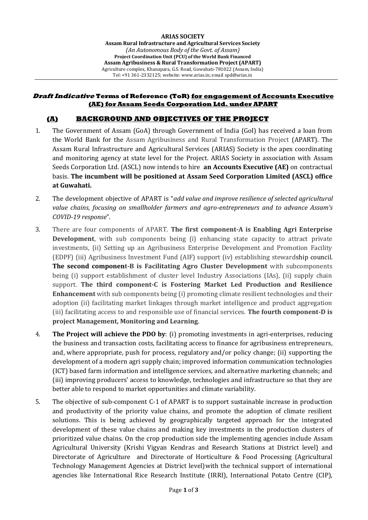#### **Draft Indicative Terms of Reference (ToR) for engagement of Accounts Executive (AE) for Assam Seeds Corporation Ltd. under APART**

### **(A) BACKGROUND AND OBJECTIVES OF THE PROJECT**

- 1. The Government of Assam (GoA) through Government of India (GoI) has received a loan from the World Bank for the Assam Agribusiness and Rural Transformation Project (APART). The Assam Rural Infrastructure and Agricultural Services (ARIAS) Society is the apex coordinating and monitoring agency at state level for the Project. ARIAS Society in association with Assam Seeds Corporation Ltd. (ASCL) now intends to hire **an Accounts Executive (AE)** on contractual basis. **The incumbent will be positioned at Assam Seed Corporation Limited (ASCL) office at Guwahati.**
- 2. The development objective of APART is "*add value and improve resilience of selected agricultural value chains, focusing on smallholder farmers and agro-entrepreneurs and to advance Assam's COVID-19 response*".
- 3. There are four components of APART. **The first component-A is Enabling Agri Enterprise Development**, with sub components being (i) enhancing state capacity to attract private investments, (ii) Setting up an Agribusiness Enterprise Development and Promotion Facility (EDPF) (iii) Agribusiness Investment Fund (AIF) support (iv) establishing stewardship council. **The second component-B is Facilitating Agro Cluster Development** with subcomponents being (i) support establishment of cluster level Industry Associations (IAs), (ii) supply chain support. **The third component-C is Fostering Market Led Production and Resilience Enhancement** with sub components being (i) promoting climate resilient technologies and their adoption (ii) facilitating market linkages through market intelligence and product aggregation (iii) facilitating access to and responsible use of financial services. **The fourth component-D is project Management, Monitoring and Learning**.
- 4. **The Project will achieve the PDO by**: (i) promoting investments in agri-enterprises, reducing the business and transaction costs, facilitating access to finance for agribusiness entrepreneurs, and, where appropriate, push for process, regulatory and/or policy change; (ii) supporting the development of a modern agri supply chain; improved information communication technologies (ICT) based farm information and intelligence services, and alternative marketing channels; and (iii) improving producers' access to knowledge, technologies and infrastructure so that they are better able to respond to market opportunities and climate variability.
- 5. The objective of sub-component C-1 of APART is to support sustainable increase in production and productivity of the priority value chains, and promote the adoption of climate resilient solutions. This is being achieved by geographically targeted approach for the integrated development of these value chains and making key investments in the production clusters of prioritized value chains. On the crop production side the implementing agencies include Assam Agricultural University (Krishi Vigyan Kendras and Research Stations at District level) and Directorate of Agriculture and Directorate of Horticulture & Food Processing (Agricultural Technology Management Agencies at District level)with the technical support of international agencies like International Rice Research Institute (IRRI), International Potato Centre (CIP),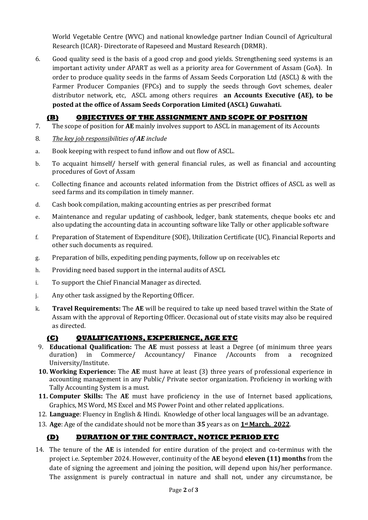World Vegetable Centre (WVC) and national knowledge partner Indian Council of Agricultural Research (ICAR)- Directorate of Rapeseed and Mustard Research (DRMR).

6. Good quality seed is the basis of a good crop and good yields. Strengthening seed systems is an important activity under APART as well as a priority area for Government of Assam (GoA). In order to produce quality seeds in the farms of Assam Seeds Corporation Ltd (ASCL) & with the Farmer Producer Companies (FPCs) and to supply the seeds through Govt schemes, dealer distributor network, etc, ASCL among others requires **an Accounts Executive (AE), to be posted at the office of Assam Seeds Corporation Limited (ASCL) Guwahati.**

# **(B) OBJECTIVES OF THE ASSIGNMENT AND SCOPE OF POSITION**

- 7. The scope of position for **AE** mainly involves support to ASCL in management of its Accounts
- 8. *The key job responsibilities of AE include*
- a. Book keeping with respect to fund inflow and out flow of ASCL.
- b. To acquaint himself/ herself with general financial rules, as well as financial and accounting procedures of Govt of Assam
- c. Collecting finance and accounts related information from the District offices of ASCL as well as seed farms and its compilation in timely manner.
- d. Cash book compilation, making accounting entries as per prescribed format
- e. Maintenance and regular updating of cashbook, ledger, bank statements, cheque books etc and also updating the accounting data in accounting software like Tally or other applicable software
- f. Preparation of Statement of Expenditure (SOE), Utilization Certificate (UC), Financial Reports and other such documents as required.
- g. Preparation of bills, expediting pending payments, follow up on receivables etc
- h. Providing need based support in the internal audits of ASCL
- i. To support the Chief Financial Manager as directed.
- j. Any other task assigned by the Reporting Officer.
- k. **Travel Requirements:** The **AE** will be required to take up need based travel within the State of Assam with the approval of Reporting Officer. Occasional out of state visits may also be required as directed.

### **(C) QUALIFICATIONS, EXPERIENCE, AGE ETC**

- 9. **Educational Qualification:** The **AE** must possess at least a Degree (of minimum three years duration) in Commerce/ Accountancy/ Finance /Accounts from a recognized University/Institute.
- **10. Working Experience:** The **AE** must have at least (3) three years of professional experience in accounting management in any Public/ Private sector organization. Proficiency in working with Tally Accounting System is a must.
- **11. Computer Skills:** The **AE** must have proficiency in the use of Internet based applications, Graphics, MS Word, MS Excel and MS Power Point and other related applications.
- 12. **Language**: Fluency in English & Hindi. Knowledge of other local languages will be an advantage.
- 13. **Age**: Age of the candidate should not be more than **35** years as on **1st March, 2022**.

## **(D) DURATION OF THE CONTRACT, NOTICE PERIOD ETC**

14. The tenure of the **AE** is intended for entire duration of the project and co-terminus with the project i.e. September 2024. However, continuity of the **AE** beyond **eleven (11) months** from the date of signing the agreement and joining the position, will depend upon his/her performance. The assignment is purely contractual in nature and shall not, under any circumstance, be